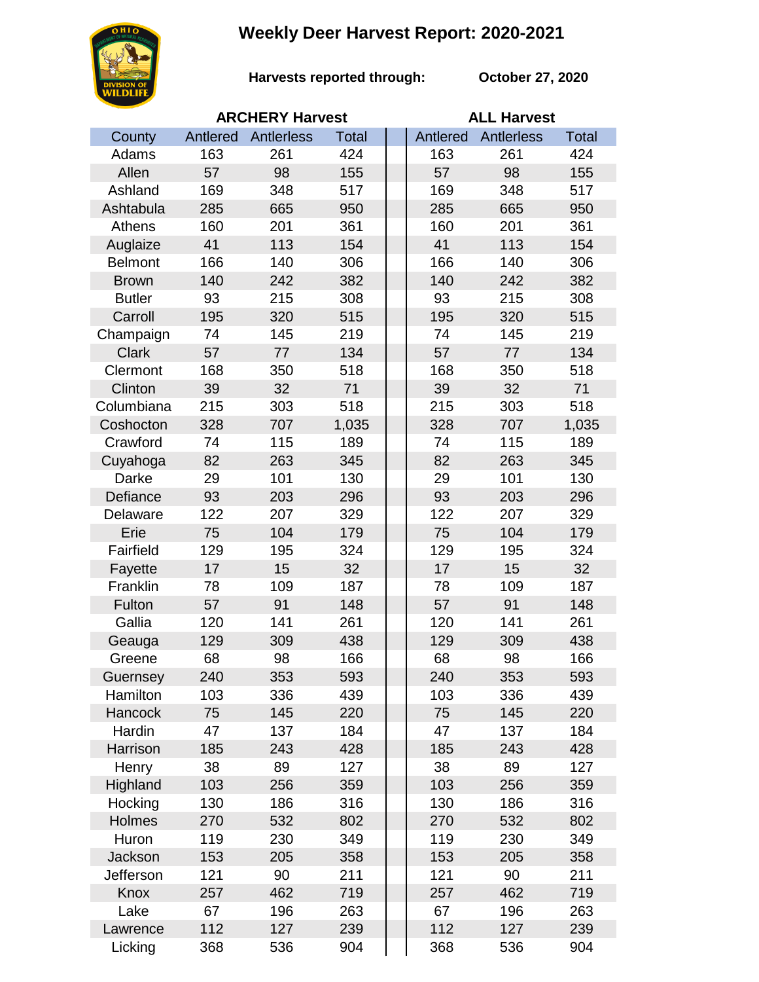## **Weekly Deer Harvest Report: 2020-2021**



**Harvests reported through: October 27, 2020**

|                | <b>ARCHERY Harvest</b> |            |              |  | <b>ALL Harvest</b> |                   |              |  |
|----------------|------------------------|------------|--------------|--|--------------------|-------------------|--------------|--|
| County         | Antlered               | Antlerless | <b>Total</b> |  | Antlered           | <b>Antlerless</b> | <b>Total</b> |  |
| Adams          | 163                    | 261        | 424          |  | 163                | 261               | 424          |  |
| Allen          | 57                     | 98         | 155          |  | 57                 | 98                | 155          |  |
| Ashland        | 169                    | 348        | 517          |  | 169                | 348               | 517          |  |
| Ashtabula      | 285                    | 665        | 950          |  | 285                | 665               | 950          |  |
| Athens         | 160                    | 201        | 361          |  | 160                | 201               | 361          |  |
| Auglaize       | 41                     | 113        | 154          |  | 41                 | 113               | 154          |  |
| <b>Belmont</b> | 166                    | 140        | 306          |  | 166                | 140               | 306          |  |
| <b>Brown</b>   | 140                    | 242        | 382          |  | 140                | 242               | 382          |  |
| <b>Butler</b>  | 93                     | 215        | 308          |  | 93                 | 215               | 308          |  |
| Carroll        | 195                    | 320        | 515          |  | 195                | 320               | 515          |  |
| Champaign      | 74                     | 145        | 219          |  | 74                 | 145               | 219          |  |
| <b>Clark</b>   | 57                     | 77         | 134          |  | 57                 | 77                | 134          |  |
| Clermont       | 168                    | 350        | 518          |  | 168                | 350               | 518          |  |
| Clinton        | 39                     | 32         | 71           |  | 39                 | 32                | 71           |  |
| Columbiana     | 215                    | 303        | 518          |  | 215                | 303               | 518          |  |
| Coshocton      | 328                    | 707        | 1,035        |  | 328                | 707               | 1,035        |  |
| Crawford       | 74                     | 115        | 189          |  | 74                 | 115               | 189          |  |
| Cuyahoga       | 82                     | 263        | 345          |  | 82                 | 263               | 345          |  |
| Darke          | 29                     | 101        | 130          |  | 29                 | 101               | 130          |  |
| Defiance       | 93                     | 203        | 296          |  | 93                 | 203               | 296          |  |
| Delaware       | 122                    | 207        | 329          |  | 122                | 207               | 329          |  |
| Erie           | 75                     | 104        | 179          |  | 75                 | 104               | 179          |  |
| Fairfield      | 129                    | 195        | 324          |  | 129                | 195               | 324          |  |
| Fayette        | 17                     | 15         | 32           |  | 17                 | 15                | 32           |  |
| Franklin       | 78                     | 109        | 187          |  | 78                 | 109               | 187          |  |
| Fulton         | 57                     | 91         | 148          |  | 57                 | 91                | 148          |  |
| Gallia         | 120                    | 141        | 261          |  | 120                | 141               | 261          |  |
| Geauga         | 129                    | 309        | 438          |  | 129                | 309               | 438          |  |
| Greene         | 68                     | 98         | 166          |  | 68                 | 98                | 166          |  |
| Guernsey       | 240                    | 353        | 593          |  | 240                | 353               | 593          |  |
| Hamilton       | 103                    | 336        | 439          |  | 103                | 336               | 439          |  |
| Hancock        | 75                     | 145        | 220          |  | 75                 | 145               | 220          |  |
| Hardin         | 47                     | 137        | 184          |  | 47                 | 137               | 184          |  |
| Harrison       | 185                    | 243        | 428          |  | 185                | 243               | 428          |  |
| Henry          | 38                     | 89         | 127          |  | 38                 | 89                | 127          |  |
| Highland       | 103                    | 256        | 359          |  | 103                | 256               | 359          |  |
| Hocking        | 130                    | 186        | 316          |  | 130                | 186               | 316          |  |
| Holmes         | 270                    | 532        | 802          |  | 270                | 532               | 802          |  |
| Huron          | 119                    | 230        | 349          |  | 119                | 230               | 349          |  |
| Jackson        | 153                    | 205        | 358          |  | 153                | 205               | 358          |  |
| Jefferson      | 121                    | 90         | 211          |  | 121                | 90                | 211          |  |
| Knox           | 257                    | 462        | 719          |  | 257                | 462               | 719          |  |
| Lake           | 67                     | 196        | 263          |  | 67                 | 196               | 263          |  |
| Lawrence       | 112                    | 127        | 239          |  | 112                | 127               | 239          |  |
| Licking        | 368                    | 536        | 904          |  | 368                | 536               | 904          |  |